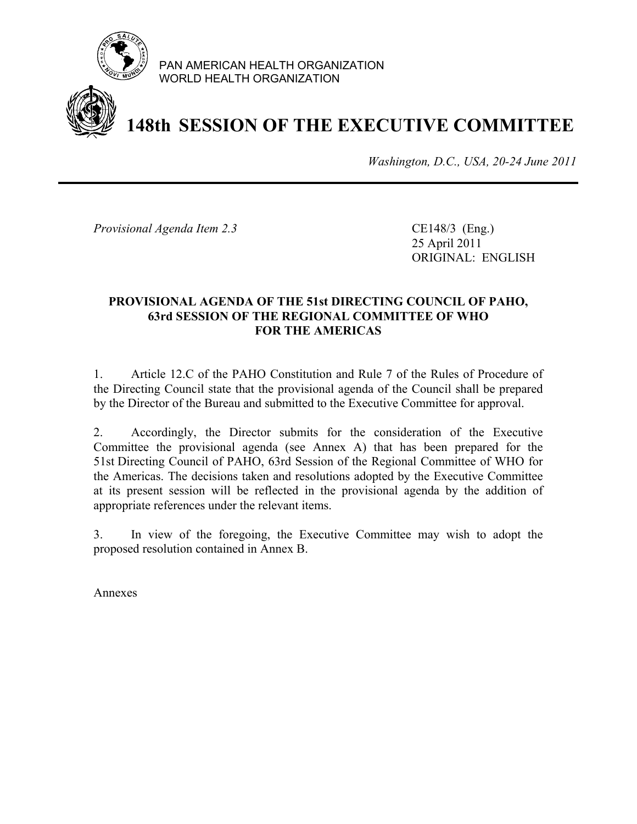

PAN AMERICAN HEALTH ORGANIZATION WORLD HEALTH ORGANIZATION

# **148th SESSION OF THE EXECUTIVE COMMITTEE**

*Washington, D.C., USA, 20-24 June 2011*

*Provisional Agenda Item 2.3* CE148/3 (Eng.)

 25 April 2011 ORIGINAL: ENGLISH

#### **PROVISIONAL AGENDA OF THE 51st DIRECTING COUNCIL OF PAHO, 63rd SESSION OF THE REGIONAL COMMITTEE OF WHO FOR THE AMERICAS**

1. Article 12.C of the PAHO Constitution and Rule 7 of the Rules of Procedure of the Directing Council state that the provisional agenda of the Council shall be prepared by the Director of the Bureau and submitted to the Executive Committee for approval.

2. Accordingly, the Director submits for the consideration of the Executive Committee the provisional agenda (see Annex A) that has been prepared for the 51st Directing Council of PAHO, 63rd Session of the Regional Committee of WHO for the Americas. The decisions taken and resolutions adopted by the Executive Committee at its present session will be reflected in the provisional agenda by the addition of appropriate references under the relevant items.

3. In view of the foregoing, the Executive Committee may wish to adopt the proposed resolution contained in Annex B.

Annexes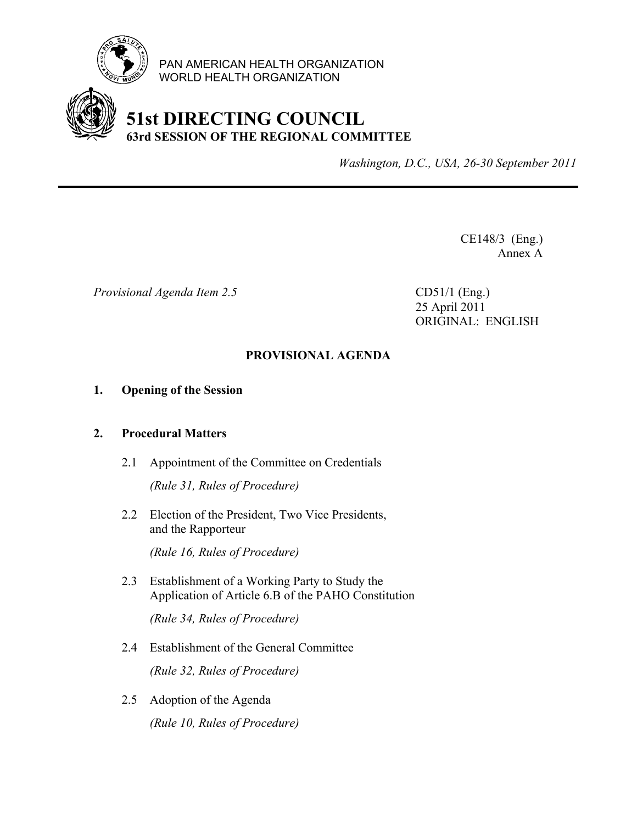

PAN AMERICAN HEALTH ORGANIZATION WORLD HEALTH ORGANIZATION

### **51st DIRECTING COUNCIL 63rd SESSION OF THE REGIONAL COMMITTEE**

*Washington, D.C., USA, 26-30 September 2011*

CE148/3 (Eng.) Annex A

*Provisional Agenda Item 2.5* CD51/1 (Eng.)

 25 April 2011 ORIGINAL: ENGLISH

#### **PROVISIONAL AGENDA**

#### **1. Opening of the Session**

#### **2. Procedural Matters**

- 2.1 Appointment of the Committee on Credentials *(Rule 31, Rules of Procedure)*
- 2.2 Election of the President, Two Vice Presidents, and the Rapporteur

 *(Rule 16, Rules of Procedure)* 

2.3 Establishment of a Working Party to Study the Application of Article 6.B of the PAHO Constitution

 *(Rule 34, Rules of Procedure)*

2.4 Establishment of the General Committee

*(Rule 32, Rules of Procedure)* 

2.5 Adoption of the Agenda  *(Rule 10, Rules of Procedure)*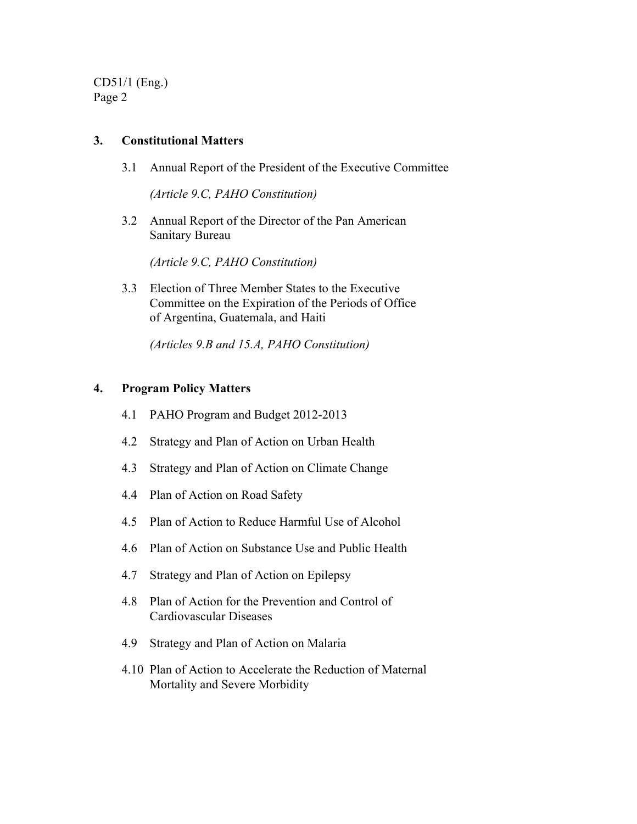CD51/1 (Eng.) Page 2

#### **3. Constitutional Matters**

3.1 Annual Report of the President of the Executive Committee

 *(Article 9.C, PAHO Constitution)* 

 3.2 Annual Report of the Director of the Pan American Sanitary Bureau

 *(Article 9.C, PAHO Constitution)* 

 3.3 Election of Three Member States to the Executive Committee on the Expiration of the Periods of Office of Argentina, Guatemala, and Haiti

 *(Articles 9.B and 15.A, PAHO Constitution)* 

#### **4. Program Policy Matters**

- 4.1 PAHO Program and Budget 2012-2013
- 4.2 Strategy and Plan of Action on Urban Health
- 4.3 Strategy and Plan of Action on Climate Change
- 4.4 Plan of Action on Road Safety
- 4.5 Plan of Action to Reduce Harmful Use of Alcohol
- 4.6 Plan of Action on Substance Use and Public Health
- 4.7 Strategy and Plan of Action on Epilepsy
- 4.8 Plan of Action for the Prevention and Control of Cardiovascular Diseases
- 4.9 Strategy and Plan of Action on Malaria
- 4.10 Plan of Action to Accelerate the Reduction of Maternal Mortality and Severe Morbidity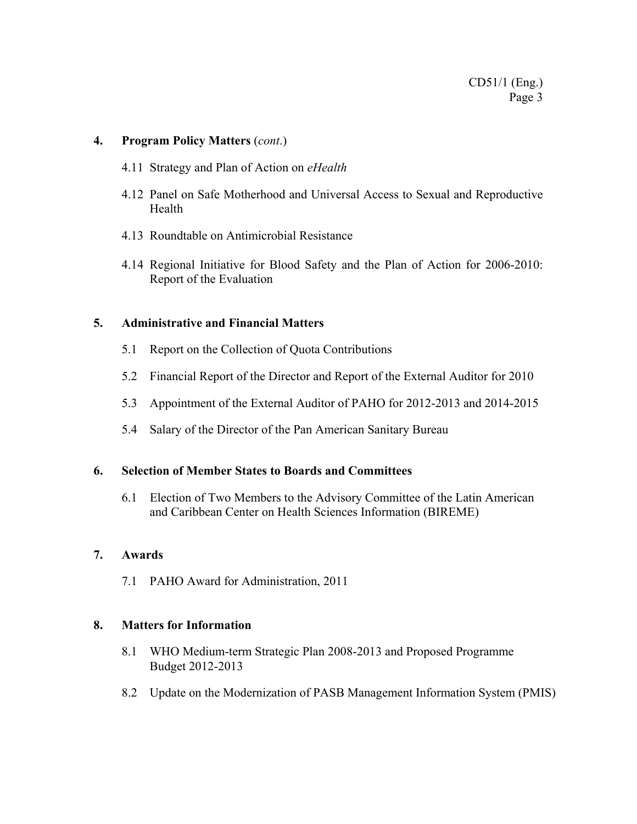#### **4. Program Policy Matters** (*cont*.)

- 4.11 Strategy and Plan of Action on *eHealth*
- 4.12 Panel on Safe Motherhood and Universal Access to Sexual and Reproductive Health
- 4.13 Roundtable on Antimicrobial Resistance
- 4.14 Regional Initiative for Blood Safety and the Plan of Action for 2006-2010: Report of the Evaluation

#### **5. Administrative and Financial Matters**

- 5.1 Report on the Collection of Quota Contributions
- 5.2 Financial Report of the Director and Report of the External Auditor for 2010
- 5.3 Appointment of the External Auditor of PAHO for 2012-2013 and 2014-2015
- 5.4 Salary of the Director of the Pan American Sanitary Bureau

#### **6. Selection of Member States to Boards and Committees**

 6.1 Election of Two Members to the Advisory Committee of the Latin American and Caribbean Center on Health Sciences Information (BIREME)

#### **7. Awards**

7.1 PAHO Award for Administration, 2011

#### **8. Matters for Information**

- 8.1 WHO Medium-term Strategic Plan 2008-2013 and Proposed Programme Budget 2012-2013
- 8.2 Update on the Modernization of PASB Management Information System (PMIS)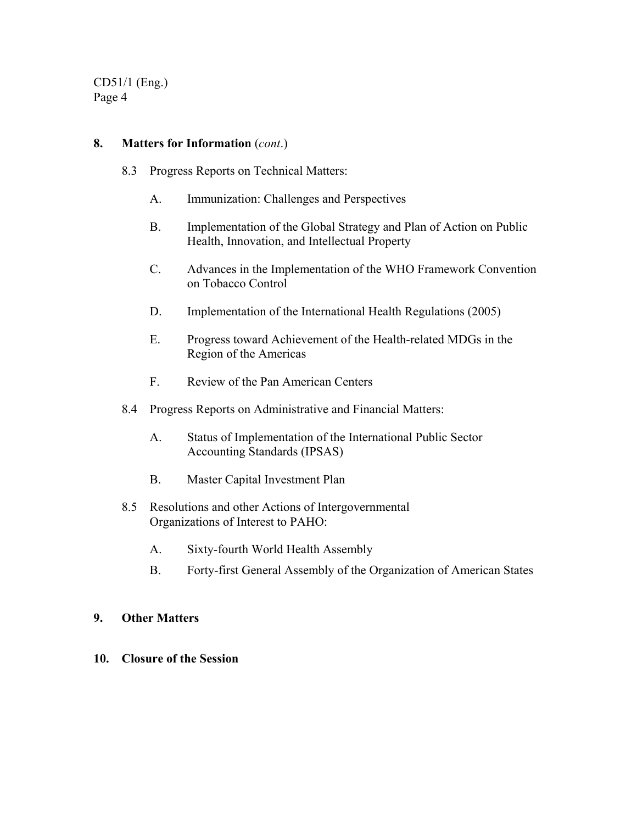CD51/1 (Eng.) Page 4

#### **8. Matters for Information** (*cont*.)

- 8.3 Progress Reports on Technical Matters:
	- A. Immunization: Challenges and Perspectives
	- B. Implementation of the Global Strategy and Plan of Action on Public Health, Innovation, and Intellectual Property
	- C. Advances in the Implementation of the WHO Framework Convention on Tobacco Control
	- D. Implementation of the International Health Regulations (2005)
	- E. Progress toward Achievement of the Health-related MDGs in the Region of the Americas
	- F. Review of the Pan American Centers
- 8.4 Progress Reports on Administrative and Financial Matters:
	- A. Status of Implementation of the International Public Sector Accounting Standards (IPSAS)
	- B. Master Capital Investment Plan
- 8.5 Resolutions and other Actions of Intergovernmental Organizations of Interest to PAHO:
	- A. Sixty-fourth World Health Assembly
	- B. Forty-first General Assembly of the Organization of American States

#### **9. Other Matters**

**10. Closure of the Session**